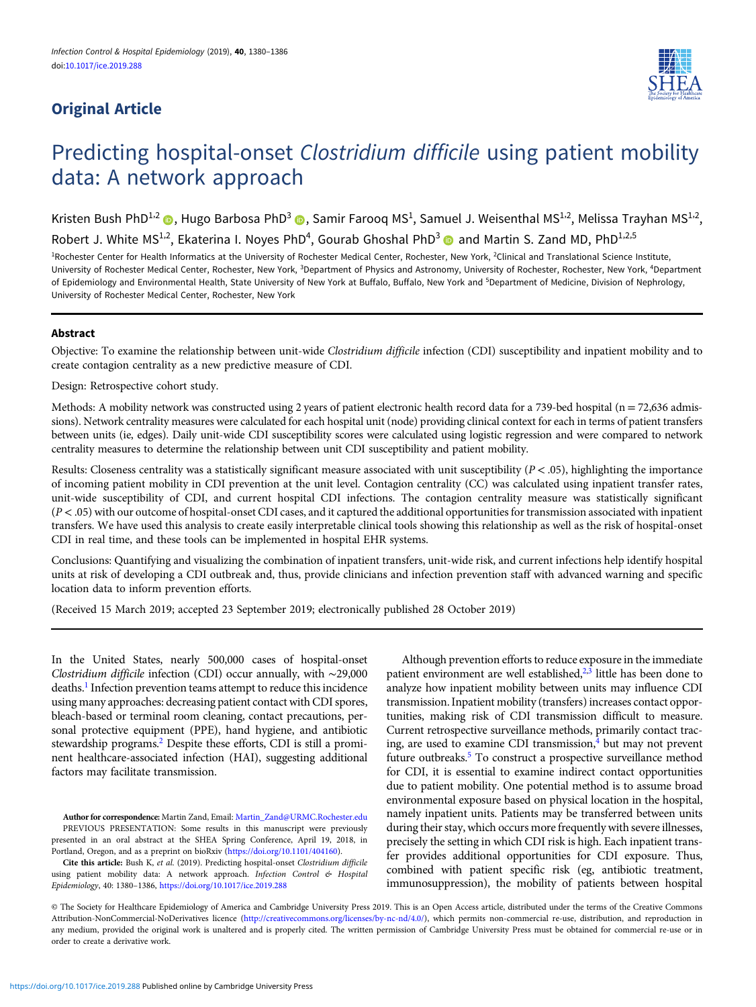# Original Article



# Predicting hospital-onset Clostridium difficile using patient mobility data: A network approach

Kristen Bush PhD<sup>1,2</sup> (D, Hugo Barbosa PhD<sup>3</sup> (D, Samir Farooq MS<sup>1</sup>, Samuel J. Weisenthal MS<sup>1,2</sup>, Melissa Trayhan MS<sup>1,2</sup>,

Robert J. White MS<sup>1,2</sup>, Ekaterina I. Noyes PhD<sup>4</sup>, Gourab Ghoshal PhD<sup>3</sup> and Martin S. Zand MD, PhD<sup>1,2,5</sup> <sup>1</sup>Rochester Center for Health Informatics at the University of Rochester Medical Center, Rochester, New York, <sup>2</sup>Clinical and Translational Science Institute,

University of Rochester Medical Center, Rochester, New York, <sup>3</sup>Department of Physics and Astronomy, University of Rochester, Rochester, New York, <sup>4</sup>Department of Epidemiology and Environmental Health, State University of New York at Buffalo, Buffalo, New York and <sup>5</sup>Department of Medicine, Division of Nephrology, University of Rochester Medical Center, Rochester, New York

# Abstract

Objective: To examine the relationship between unit-wide Clostridium difficile infection (CDI) susceptibility and inpatient mobility and to create contagion centrality as a new predictive measure of CDI.

Design: Retrospective cohort study.

Methods: A mobility network was constructed using 2 years of patient electronic health record data for a 739-bed hospital ( $n = 72,636$  admissions). Network centrality measures were calculated for each hospital unit (node) providing clinical context for each in terms of patient transfers between units (ie, edges). Daily unit-wide CDI susceptibility scores were calculated using logistic regression and were compared to network centrality measures to determine the relationship between unit CDI susceptibility and patient mobility.

Results: Closeness centrality was a statistically significant measure associated with unit susceptibility ( $P < 0.05$ ), highlighting the importance of incoming patient mobility in CDI prevention at the unit level. Contagion centrality (CC) was calculated using inpatient transfer rates, unit-wide susceptibility of CDI, and current hospital CDI infections. The contagion centrality measure was statistically significant  $(P < .05)$  with our outcome of hospital-onset CDI cases, and it captured the additional opportunities for transmission associated with inpatient transfers. We have used this analysis to create easily interpretable clinical tools showing this relationship as well as the risk of hospital-onset CDI in real time, and these tools can be implemented in hospital EHR systems.

Conclusions: Quantifying and visualizing the combination of inpatient transfers, unit-wide risk, and current infections help identify hospital units at risk of developing a CDI outbreak and, thus, provide clinicians and infection prevention staff with advanced warning and specific location data to inform prevention efforts.

(Received 15 March 2019; accepted 23 September 2019; electronically published 28 October 2019)

In the United States, nearly 500,000 cases of hospital-onset Clostridium difficile infection (CDI) occur annually, with ∼29,000 deaths.<sup>1</sup> Infection prevention teams attempt to reduce this incidence using many approaches: decreasing patient contact with CDI spores, bleach-based or terminal room cleaning, contact precautions, personal protective equipment (PPE), hand hygiene, and antibiotic stewardship programs.<sup>2</sup> Despite these efforts, CDI is still a prominent healthcare-associated infection (HAI), suggesting additional factors may facilitate transmission.

Author for correspondence: Martin Zand, Email: [Martin\\_Zand@URMC.Rochester.edu](mailto:Martin_Zand@URMC.Rochester.edu) PREVIOUS PRESENTATION: Some results in this manuscript were previously presented in an oral abstract at the SHEA Spring Conference, April 19, 2018, in Portland, Oregon, and as a preprint on bioRxiv [\(https://doi.org/10.1101/404160\)](https://doi.org/10.1101/404160).

Cite this article: Bush K, et al. (2019). Predicting hospital-onset Clostridium difficile using patient mobility data: A network approach. Infection Control & Hospital Epidemiology, 40: 1380–1386, <https://doi.org/10.1017/ice.2019.288>

Although prevention efforts to reduce exposure in the immediate patient environment are well established, $2,3$  little has been done to analyze how inpatient mobility between units may influence CDI transmission. Inpatient mobility (transfers) increases contact opportunities, making risk of CDI transmission difficult to measure. Current retrospective surveillance methods, primarily contact tracing, are used to examine CDI transmission, $4$  but may not prevent future outbreaks.<sup>5</sup> To construct a prospective surveillance method for CDI, it is essential to examine indirect contact opportunities due to patient mobility. One potential method is to assume broad environmental exposure based on physical location in the hospital, namely inpatient units. Patients may be transferred between units during their stay, which occurs more frequently with severe illnesses, precisely the setting in which CDI risk is high. Each inpatient transfer provides additional opportunities for CDI exposure. Thus, combined with patient specific risk (eg, antibiotic treatment, immunosuppression), the mobility of patients between hospital

© The Society for Healthcare Epidemiology of America and Cambridge University Press 2019. This is an Open Access article, distributed under the terms of the Creative Commons Attribution-NonCommercial-NoDerivatives licence [\(http://creativecommons.org/licenses/by-nc-nd/4.0/](http://creativecommons.org/licenses/by-nc-nd/4.0/)), which permits non-commercial re-use, distribution, and reproduction in any medium, provided the original work is unaltered and is properly cited. The written permission of Cambridge University Press must be obtained for commercial re-use or in order to create a derivative work.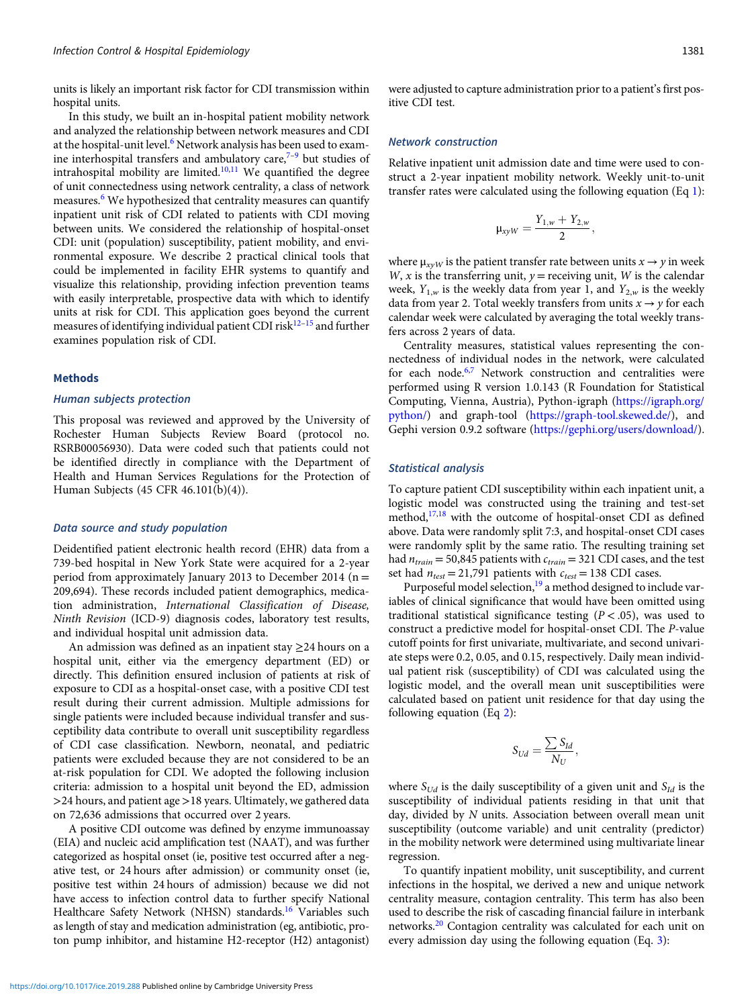units is likely an important risk factor for CDI transmission within hospital units.

In this study, we built an in-hospital patient mobility network and analyzed the relationship between network measures and CDI at the hospital-unit level.<sup>[6](#page-6-0)</sup> Network analysis has been used to examine interhospital transfers and ambulatory care, $7-9$  $7-9$  $7-9$  but studies of intrahospital mobility are limited.<sup>[10,11](#page-6-0)</sup> We quantified the degree of unit connectedness using network centrality, a class of network measures.<sup>[6](#page-6-0)</sup> We hypothesized that centrality measures can quantify inpatient unit risk of CDI related to patients with CDI moving between units. We considered the relationship of hospital-onset CDI: unit (population) susceptibility, patient mobility, and environmental exposure. We describe 2 practical clinical tools that could be implemented in facility EHR systems to quantify and visualize this relationship, providing infection prevention teams with easily interpretable, prospective data with which to identify units at risk for CDI. This application goes beyond the current measures of identifying individual patient CDI risk $12-15$  $12-15$  $12-15$  and further examines population risk of CDI.

#### Methods

### Human subjects protection

This proposal was reviewed and approved by the University of Rochester Human Subjects Review Board (protocol no. RSRB00056930). Data were coded such that patients could not be identified directly in compliance with the Department of Health and Human Services Regulations for the Protection of Human Subjects (45 CFR 46.101(b)(4)).

#### Data source and study population

Deidentified patient electronic health record (EHR) data from a 739-bed hospital in New York State were acquired for a 2-year period from approximately January 2013 to December 2014 ( $n =$ 209,694). These records included patient demographics, medication administration, International Classification of Disease, Ninth Revision (ICD-9) diagnosis codes, laboratory test results, and individual hospital unit admission data.

An admission was defined as an inpatient stay ≥24 hours on a hospital unit, either via the emergency department (ED) or directly. This definition ensured inclusion of patients at risk of exposure to CDI as a hospital-onset case, with a positive CDI test result during their current admission. Multiple admissions for single patients were included because individual transfer and susceptibility data contribute to overall unit susceptibility regardless of CDI case classification. Newborn, neonatal, and pediatric patients were excluded because they are not considered to be an at-risk population for CDI. We adopted the following inclusion criteria: admission to a hospital unit beyond the ED, admission >24 hours, and patient age >18 years. Ultimately, we gathered data on 72,636 admissions that occurred over 2 years.

A positive CDI outcome was defined by enzyme immunoassay (EIA) and nucleic acid amplification test (NAAT), and was further categorized as hospital onset (ie, positive test occurred after a negative test, or 24 hours after admission) or community onset (ie, positive test within 24 hours of admission) because we did not have access to infection control data to further specify National Healthcare Safety Network (NHSN) standards.<sup>16</sup> Variables such as length of stay and medication administration (eg, antibiotic, proton pump inhibitor, and histamine H2-receptor (H2) antagonist)

were adjusted to capture administration prior to a patient's first positive CDI test.

#### Network construction

Relative inpatient unit admission date and time were used to construct a 2-year inpatient mobility network. Weekly unit-to-unit transfer rates were calculated using the following equation (Eq 1):

$$
\mu_{xyW} = \frac{Y_{1,w} + Y_{2,w}}{2},
$$

where  $\mu_{xvW}$  is the patient transfer rate between units  $x \rightarrow y$  in week W, x is the transferring unit,  $y$  = receiving unit, W is the calendar week,  $Y_{1,w}$  is the weekly data from year 1, and  $Y_{2,w}$  is the weekly data from year 2. Total weekly transfers from units  $x \rightarrow y$  for each calendar week were calculated by averaging the total weekly transfers across 2 years of data.

Centrality measures, statistical values representing the connectedness of individual nodes in the network, were calculated for each node.<sup>[6,7](#page-6-0)</sup> Network construction and centralities were performed using R version 1.0.143 (R Foundation for Statistical Computing, Vienna, Austria), Python-igraph [\(https://igraph.org/](https://igraph.org/python/) [python/](https://igraph.org/python/)) and graph-tool [\(https://graph-tool.skewed.de/\)](https://graph-tool.skewed.de/), and Gephi version 0.9.2 software ([https://gephi.org/users/download/\)](https://gephi.org/users/download/).

#### Statistical analysis

To capture patient CDI susceptibility within each inpatient unit, a logistic model was constructed using the training and test-set method,<sup>[17,18](#page-6-0)</sup> with the outcome of hospital-onset CDI as defined above. Data were randomly split 7:3, and hospital-onset CDI cases were randomly split by the same ratio. The resulting training set had  $n_{train} = 50,845$  patients with  $c_{train} = 321$  CDI cases, and the test set had  $n_{test} = 21,791$  patients with  $c_{test} = 138$  CDI cases.

Purposeful model selection,<sup>19</sup> a method designed to include variables of clinical significance that would have been omitted using traditional statistical significance testing  $(P < .05)$ , was used to construct a predictive model for hospital-onset CDI. The P-value cutoff points for first univariate, multivariate, and second univariate steps were 0.2, 0.05, and 0.15, respectively. Daily mean individual patient risk (susceptibility) of CDI was calculated using the logistic model, and the overall mean unit susceptibilities were calculated based on patient unit residence for that day using the following equation (Eq 2):

$$
S_{Ud} = \frac{\sum S_{Id}}{N_U},
$$

where  $S_{Ud}$  is the daily susceptibility of a given unit and  $S_{Id}$  is the susceptibility of individual patients residing in that unit that day, divided by N units. Association between overall mean unit susceptibility (outcome variable) and unit centrality (predictor) in the mobility network were determined using multivariate linear regression.

To quantify inpatient mobility, unit susceptibility, and current infections in the hospital, we derived a new and unique network centrality measure, contagion centrality. This term has also been used to describe the risk of cascading financial failure in interbank networks.[20](#page-6-0) Contagion centrality was calculated for each unit on every admission day using the following equation (Eq. 3):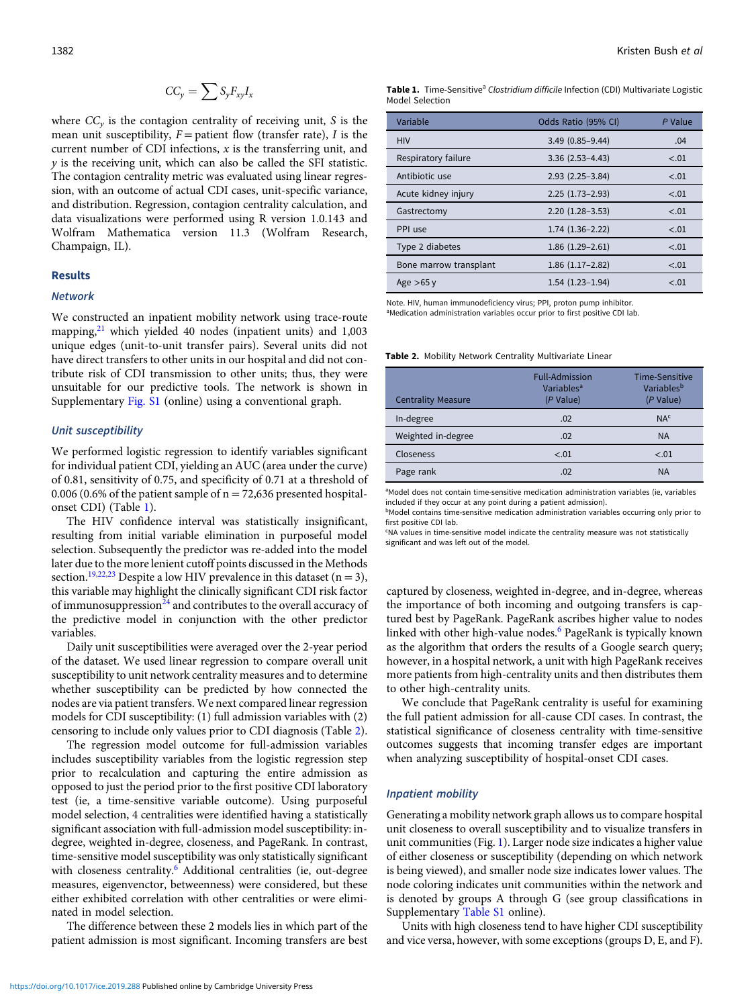$$
CC_y = \sum S_y F_{xy} I_x
$$

where  $CC_y$  is the contagion centrality of receiving unit, S is the mean unit susceptibility,  $F =$  patient flow (transfer rate),  $I$  is the current number of CDI infections,  $x$  is the transferring unit, and  $y$  is the receiving unit, which can also be called the SFI statistic. The contagion centrality metric was evaluated using linear regression, with an outcome of actual CDI cases, unit-specific variance, and distribution. Regression, contagion centrality calculation, and data visualizations were performed using R version 1.0.143 and Wolfram Mathematica version 11.3 (Wolfram Research, Champaign, IL).

# Results

#### Network

We constructed an inpatient mobility network using trace-route mapping,<sup>[21](#page-6-0)</sup> which yielded 40 nodes (inpatient units) and 1,003 unique edges (unit-to-unit transfer pairs). Several units did not have direct transfers to other units in our hospital and did not contribute risk of CDI transmission to other units; thus, they were unsuitable for our predictive tools. The network is shown in Supplementary [Fig. S1](https://doi.org/10.1017/ice.2019.288) (online) using a conventional graph.

#### Unit susceptibility

We performed logistic regression to identify variables significant for individual patient CDI, yielding an AUC (area under the curve) of 0.81, sensitivity of 0.75, and specificity of 0.71 at a threshold of 0.006 (0.6% of the patient sample of  $n = 72,636$  presented hospitalonset CDI) (Table 1).

The HIV confidence interval was statistically insignificant, resulting from initial variable elimination in purposeful model selection. Subsequently the predictor was re-added into the model later due to the more lenient cutoff points discussed in the Methods section.<sup>[19,22](#page-6-0),[23](#page-6-0)</sup> Despite a low HIV prevalence in this dataset (n = 3), this variable may highlight the clinically significant CDI risk factor of immunosuppression $^{24}$  $^{24}$  $^{24}$  and contributes to the overall accuracy of the predictive model in conjunction with the other predictor variables.

Daily unit susceptibilities were averaged over the 2-year period of the dataset. We used linear regression to compare overall unit susceptibility to unit network centrality measures and to determine whether susceptibility can be predicted by how connected the nodes are via patient transfers. We next compared linear regression models for CDI susceptibility: (1) full admission variables with (2) censoring to include only values prior to CDI diagnosis (Table 2).

The regression model outcome for full-admission variables includes susceptibility variables from the logistic regression step prior to recalculation and capturing the entire admission as opposed to just the period prior to the first positive CDI laboratory test (ie, a time-sensitive variable outcome). Using purposeful model selection, 4 centralities were identified having a statistically significant association with full-admission model susceptibility: indegree, weighted in-degree, closeness, and PageRank. In contrast, time-sensitive model susceptibility was only statistically significant with closeness centrality.<sup>[6](#page-6-0)</sup> Additional centralities (ie, out-degree measures, eigenvenctor, betweenness) were considered, but these either exhibited correlation with other centralities or were eliminated in model selection.

The difference between these 2 models lies in which part of the patient admission is most significant. Incoming transfers are best

|                 | Table 1. Time-Sensitive <sup>a</sup> Clostridium difficile Infection (CDI) Multivariate Logistic |
|-----------------|--------------------------------------------------------------------------------------------------|
| Model Selection |                                                                                                  |

| Variable               | Odds Ratio (95% CI)    | P Value |
|------------------------|------------------------|---------|
| <b>HIV</b>             | $3.49(0.85 - 9.44)$    | .04     |
| Respiratory failure    | $3.36$ $(2.53 - 4.43)$ | $-.01$  |
| Antibiotic use         | $2.93(2.25 - 3.84)$    | $-.01$  |
| Acute kidney injury    | $2.25(1.73-2.93)$      | $-.01$  |
| Gastrectomy            | $2.20(1.28-3.53)$      | $-.01$  |
| PPI use                | $1.74(1.36-2.22)$      | $-.01$  |
| Type 2 diabetes        | $1.86(1.29-2.61)$      | $-.01$  |
| Bone marrow transplant | $1.86(1.17-2.82)$      | $-.01$  |
| Age $>65v$             | $1.54$ $(1.23 - 1.94)$ | $-.01$  |

Note. HIV, human immunodeficiency virus; PPI, proton pump inhibitor. <sup>a</sup>Medication administration variables occur prior to first positive CDI lab.

#### Table 2. Mobility Network Centrality Multivariate Linear

| <b>Centrality Measure</b> | <b>Full-Admission</b><br>Variables <sup>a</sup><br>(P Value) | Time-Sensitive<br>Variables <sup>b</sup><br>(P Value) |
|---------------------------|--------------------------------------------------------------|-------------------------------------------------------|
| In-degree                 | .02                                                          | NA <sup>c</sup>                                       |
| Weighted in-degree        | .02                                                          | <b>NA</b>                                             |
| Closeness                 | < .01                                                        | $-.01$                                                |
| Page rank                 | .02                                                          | <b>NA</b>                                             |
|                           |                                                              |                                                       |

<sup>a</sup>Model does not contain time-sensitive medication administration variables (ie, variables included if they occur at any point during a patient admission).

bModel contains time-sensitive medication administration variables occurring only prior to first positive CDI lab.

<sup>c</sup>NA values in time-sensitive model indicate the centrality measure was not statistically significant and was left out of the model.

captured by closeness, weighted in-degree, and in-degree, whereas the importance of both incoming and outgoing transfers is captured best by PageRank. PageRank ascribes higher value to nodes linked with other high-value nodes.<sup>6</sup> PageRank is typically known as the algorithm that orders the results of a Google search query; however, in a hospital network, a unit with high PageRank receives more patients from high-centrality units and then distributes them to other high-centrality units.

We conclude that PageRank centrality is useful for examining the full patient admission for all-cause CDI cases. In contrast, the statistical significance of closeness centrality with time-sensitive outcomes suggests that incoming transfer edges are important when analyzing susceptibility of hospital-onset CDI cases.

# Inpatient mobility

Generating a mobility network graph allows us to compare hospital unit closeness to overall susceptibility and to visualize transfers in unit communities (Fig. [1\)](#page-3-0). Larger node size indicates a higher value of either closeness or susceptibility (depending on which network is being viewed), and smaller node size indicates lower values. The node coloring indicates unit communities within the network and is denoted by groups A through G (see group classifications in Supplementary [Table S1](https://doi.org/10.1017/ice.2019.288) online).

Units with high closeness tend to have higher CDI susceptibility and vice versa, however, with some exceptions (groups D, E, and F).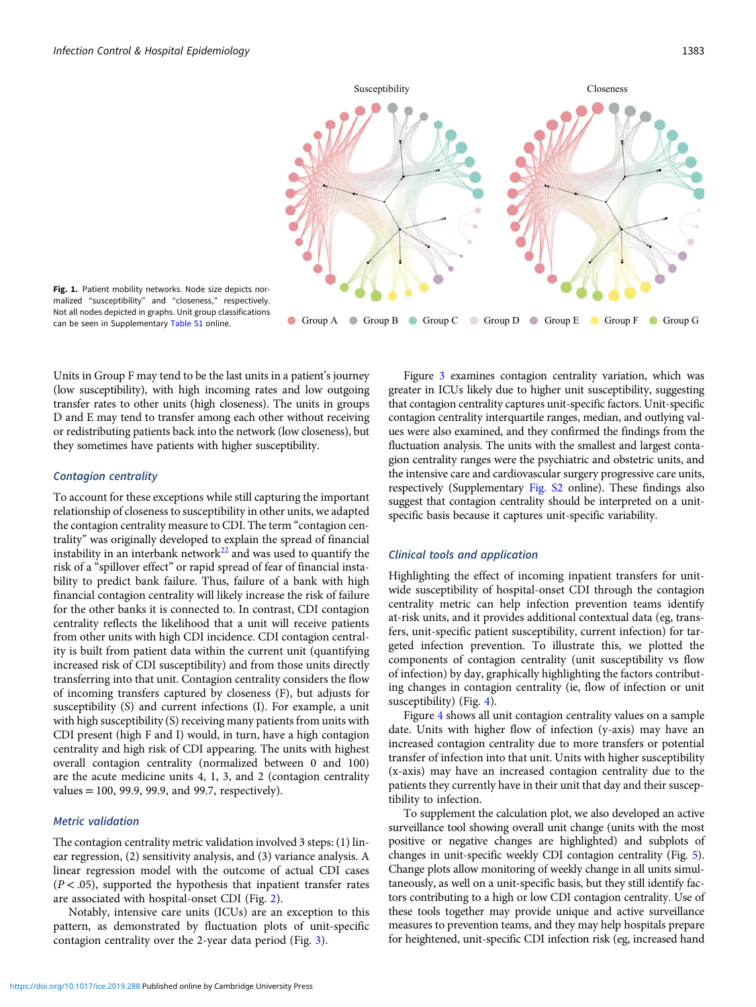<span id="page-3-0"></span>

Fig. 1. Patient mobility networks. Node size depicts normalized "susceptibility" and "closeness," respectively. Not all nodes depicted in graphs. Unit group classifications can be seen in Supplementary [Table S1](https://doi.org/10.1017/ice.2019.288) online.

Units in Group F may tend to be the last units in a patient's journey (low susceptibility), with high incoming rates and low outgoing transfer rates to other units (high closeness). The units in groups D and E may tend to transfer among each other without receiving or redistributing patients back into the network (low closeness), but they sometimes have patients with higher susceptibility.

# Contagion centrality

To account for these exceptions while still capturing the important relationship of closeness to susceptibility in other units, we adapted the contagion centrality measure to CDI. The term "contagion centrality" was originally developed to explain the spread of financial instability in an interbank network<sup>[22](#page-6-0)</sup> and was used to quantify the risk of a "spillover effect" or rapid spread of fear of financial instability to predict bank failure. Thus, failure of a bank with high financial contagion centrality will likely increase the risk of failure for the other banks it is connected to. In contrast, CDI contagion centrality reflects the likelihood that a unit will receive patients from other units with high CDI incidence. CDI contagion centrality is built from patient data within the current unit (quantifying increased risk of CDI susceptibility) and from those units directly transferring into that unit. Contagion centrality considers the flow of incoming transfers captured by closeness (F), but adjusts for susceptibility (S) and current infections (I). For example, a unit with high susceptibility (S) receiving many patients from units with CDI present (high F and I) would, in turn, have a high contagion centrality and high risk of CDI appearing. The units with highest overall contagion centrality (normalized between 0 and 100) are the acute medicine units 4, 1, 3, and 2 (contagion centrality values = 100, 99.9, 99.9, and 99.7, respectively).

#### Metric validation

The contagion centrality metric validation involved 3 steps: (1) linear regression, (2) sensitivity analysis, and (3) variance analysis. A linear regression model with the outcome of actual CDI cases  $(P < .05)$ , supported the hypothesis that inpatient transfer rates are associated with hospital-onset CDI (Fig. [2\)](#page-4-0).

Notably, intensive care units (ICUs) are an exception to this pattern, as demonstrated by fluctuation plots of unit-specific contagion centrality over the 2-year data period (Fig. [3\)](#page-4-0).

Figure [3](#page-4-0) examines contagion centrality variation, which was greater in ICUs likely due to higher unit susceptibility, suggesting that contagion centrality captures unit-specific factors. Unit-specific contagion centrality interquartile ranges, median, and outlying values were also examined, and they confirmed the findings from the fluctuation analysis. The units with the smallest and largest contagion centrality ranges were the psychiatric and obstetric units, and the intensive care and cardiovascular surgery progressive care units, respectively (Supplementary [Fig. S2](https://doi.org/10.1017/ice.2019.288) online). These findings also suggest that contagion centrality should be interpreted on a unitspecific basis because it captures unit-specific variability.

# Clinical tools and application

Highlighting the effect of incoming inpatient transfers for unitwide susceptibility of hospital-onset CDI through the contagion centrality metric can help infection prevention teams identify at-risk units, and it provides additional contextual data (eg, transfers, unit-specific patient susceptibility, current infection) for targeted infection prevention. To illustrate this, we plotted the components of contagion centrality (unit susceptibility vs flow of infection) by day, graphically highlighting the factors contributing changes in contagion centrality (ie, flow of infection or unit susceptibility) (Fig. [4](#page-5-0)).

Figure [4](#page-5-0) shows all unit contagion centrality values on a sample date. Units with higher flow of infection (y-axis) may have an increased contagion centrality due to more transfers or potential transfer of infection into that unit. Units with higher susceptibility (x-axis) may have an increased contagion centrality due to the patients they currently have in their unit that day and their susceptibility to infection.

To supplement the calculation plot, we also developed an active surveillance tool showing overall unit change (units with the most positive or negative changes are highlighted) and subplots of changes in unit-specific weekly CDI contagion centrality (Fig. [5\)](#page-5-0). Change plots allow monitoring of weekly change in all units simultaneously, as well on a unit-specific basis, but they still identify factors contributing to a high or low CDI contagion centrality. Use of these tools together may provide unique and active surveillance measures to prevention teams, and they may help hospitals prepare for heightened, unit-specific CDI infection risk (eg, increased hand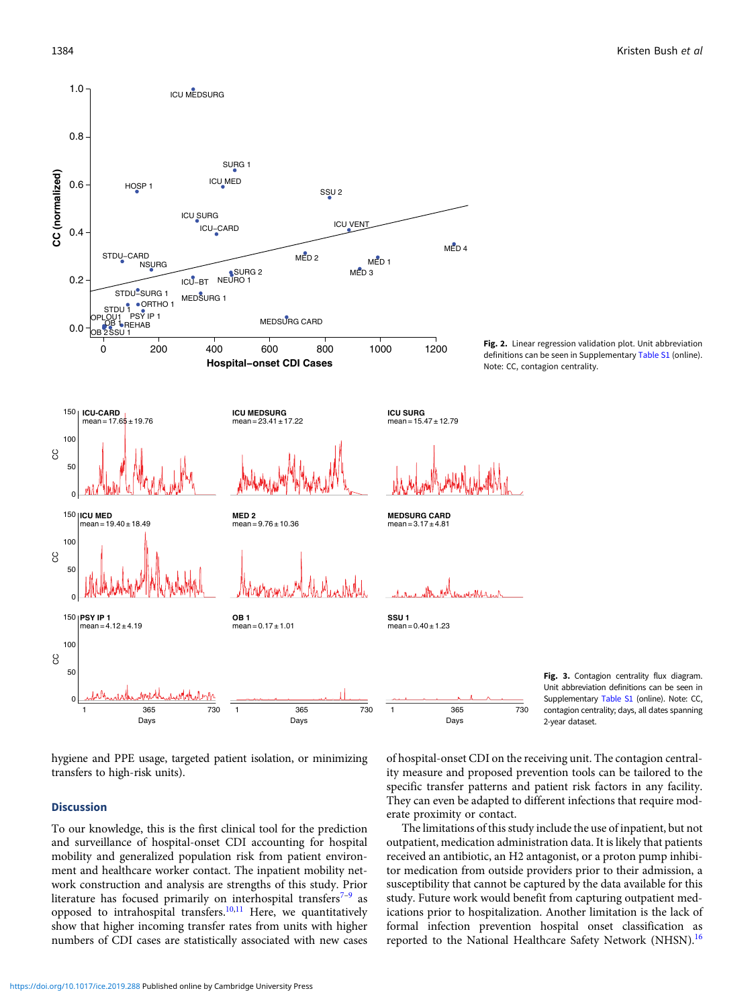<span id="page-4-0"></span>

hygiene and PPE usage, targeted patient isolation, or minimizing transfers to high-risk units).

#### **Discussion**

To our knowledge, this is the first clinical tool for the prediction and surveillance of hospital-onset CDI accounting for hospital mobility and generalized population risk from patient environment and healthcare worker contact. The inpatient mobility network construction and analysis are strengths of this study. Prior literature has focused primarily on interhospital transfers<sup>[7](#page-6-0)-[9](#page-6-0)</sup> as opposed to intrahospital transfers. $10,11$  Here, we quantitatively show that higher incoming transfer rates from units with higher numbers of CDI cases are statistically associated with new cases of hospital-onset CDI on the receiving unit. The contagion centrality measure and proposed prevention tools can be tailored to the specific transfer patterns and patient risk factors in any facility. They can even be adapted to different infections that require moderate proximity or contact.

The limitations of this study include the use of inpatient, but not outpatient, medication administration data. It is likely that patients received an antibiotic, an H2 antagonist, or a proton pump inhibitor medication from outside providers prior to their admission, a susceptibility that cannot be captured by the data available for this study. Future work would benefit from capturing outpatient medications prior to hospitalization. Another limitation is the lack of formal infection prevention hospital onset classification as reported to the National Healthcare Safety Network (NHSN).<sup>[16](#page-6-0)</sup>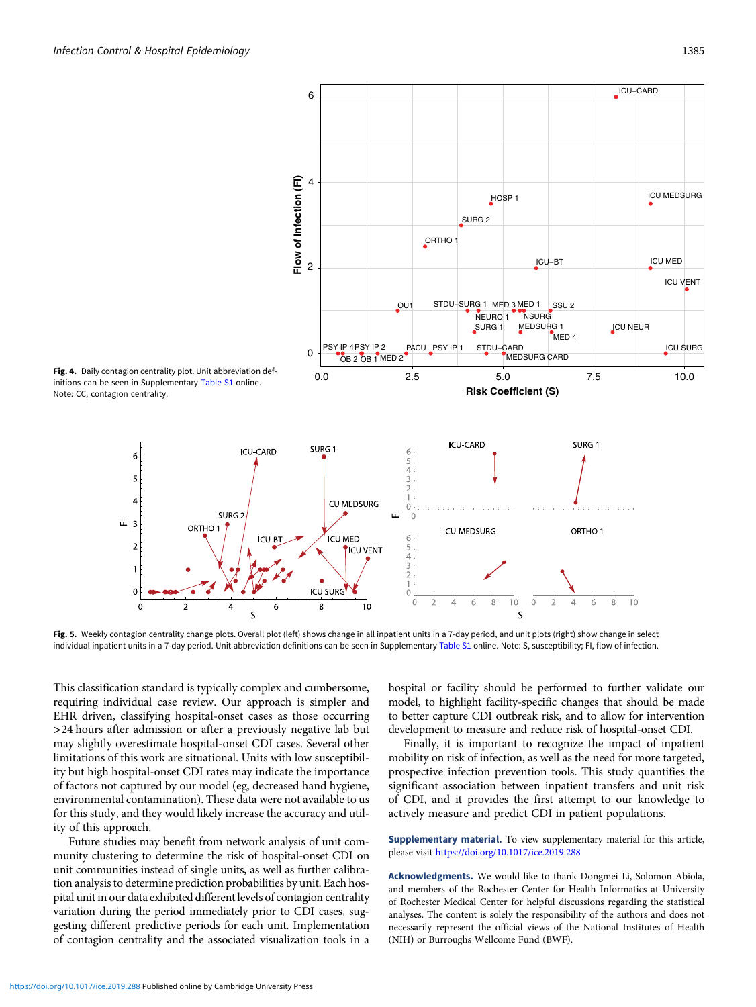<span id="page-5-0"></span>

Fig. 5. Weekly contagion centrality change plots. Overall plot (left) shows change in all inpatient units in a 7-day period, and unit plots (right) show change in select individual inpatient units in a 7-day period. Unit abbreviation definitions can be seen in Supplementary [Table S1](https://doi.org/10.1017/ice.2019.288) online. Note: S, susceptibility; FI, flow of infection.

This classification standard is typically complex and cumbersome, requiring individual case review. Our approach is simpler and EHR driven, classifying hospital-onset cases as those occurring >24 hours after admission or after a previously negative lab but may slightly overestimate hospital-onset CDI cases. Several other limitations of this work are situational. Units with low susceptibility but high hospital-onset CDI rates may indicate the importance of factors not captured by our model (eg, decreased hand hygiene, environmental contamination). These data were not available to us for this study, and they would likely increase the accuracy and utility of this approach.

Future studies may benefit from network analysis of unit community clustering to determine the risk of hospital-onset CDI on unit communities instead of single units, as well as further calibration analysis to determine prediction probabilities by unit. Each hospital unit in our data exhibited different levels of contagion centrality variation during the period immediately prior to CDI cases, suggesting different predictive periods for each unit. Implementation of contagion centrality and the associated visualization tools in a hospital or facility should be performed to further validate our model, to highlight facility-specific changes that should be made to better capture CDI outbreak risk, and to allow for intervention development to measure and reduce risk of hospital-onset CDI.

Finally, it is important to recognize the impact of inpatient mobility on risk of infection, as well as the need for more targeted, prospective infection prevention tools. This study quantifies the significant association between inpatient transfers and unit risk of CDI, and it provides the first attempt to our knowledge to actively measure and predict CDI in patient populations.

Supplementary material. To view supplementary material for this article, please visit <https://doi.org/10.1017/ice.2019.288>

Acknowledgments. We would like to thank Dongmei Li, Solomon Abiola, and members of the Rochester Center for Health Informatics at University of Rochester Medical Center for helpful discussions regarding the statistical analyses. The content is solely the responsibility of the authors and does not necessarily represent the official views of the National Institutes of Health (NIH) or Burroughs Wellcome Fund (BWF).